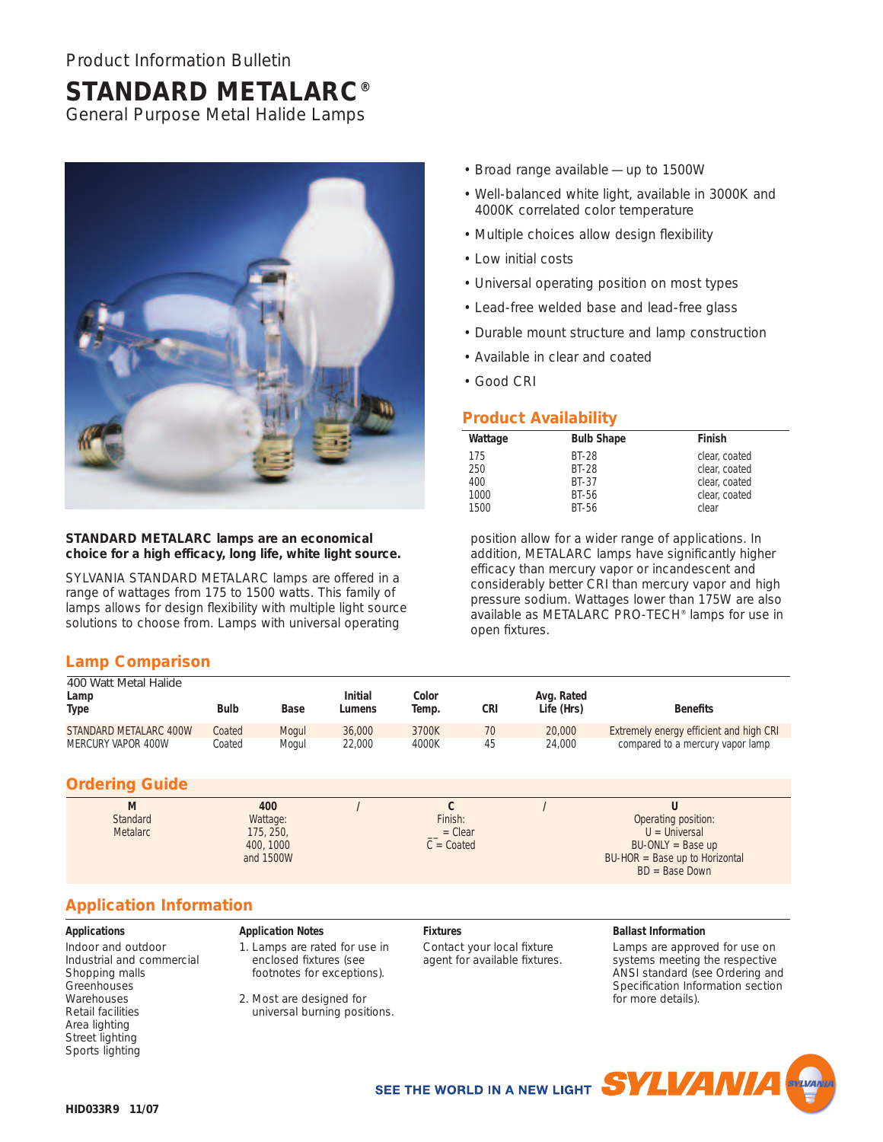# **STANDARD METALARC®**

General Purpose Metal Halide Lamps



## **STANDARD METALARC lamps are an economical choice for a high efficacy, long life, white light source.**

SYLVANIA STANDARD METALARC lamps are offered in a range of wattages from 175 to 1500 watts. This family of lamps allows for design flexibility with multiple light source solutions to choose from. Lamps with universal operating

# **Lamp Comparison**

- Broad range available up to 1500W
- Well-balanced white light, available in 3000K and 4000K correlated color temperature
- Multiple choices allow design flexibility
- Low initial costs
- Universal operating position on most types
- Lead-free welded base and lead-free glass
- Durable mount structure and lamp construction
- Available in clear and coated
- Good CRI

# **Product Availability**

| Wattage | <b>Bulb Shape</b> | Finish        |
|---------|-------------------|---------------|
| 175     | <b>BT-28</b>      | clear, coated |
| 250     | <b>BT-28</b>      | clear, coated |
| 400     | <b>BT-37</b>      | clear, coated |
| 1000    | BT-56             | clear, coated |
| 1500    | BT-56             | clear         |

position allow for a wider range of applications. In addition, METALARC lamps have significantly higher efficacy than mercury vapor or incandescent and considerably better CRI than mercury vapor and high pressure sodium. Wattages lower than 175W are also available as METALARC PRO-TECH® lamps for use in open fixtures.

| 400 Watt Metal Halide<br>Lamp<br>Type | <b>Bulb</b> | <b>Base</b> | <b>Initial</b><br>Lumens | Color<br>Temp. | CRI | Avg. Rated<br>Life (Hrs) | <b>Benefits</b>                         |
|---------------------------------------|-------------|-------------|--------------------------|----------------|-----|--------------------------|-----------------------------------------|
| STANDARD METALARC 400W                | Coated      | Mogul       | 36,000                   | 3700K          | 70  | 20,000                   | Extremely energy efficient and high CRI |
| MERCURY VAPOR 400W                    | Coated      | Mogul       | 22.000                   | 4000K          | 45  | 24,000                   | compared to a mercury vapor lamp        |

## **Ordering Guide**

| M               | 400       |              |                                         |
|-----------------|-----------|--------------|-----------------------------------------|
| Standard        | Wattage:  | Finish:      | Operating position:                     |
| <b>Metalarc</b> | 175, 250, | $= Clear$    | $U =$ Universal                         |
|                 | 400, 1000 | $C = Coated$ | $BU-ONLY = Base up$                     |
|                 | and 1500W |              | $BU\text{-}HOR = Base up to Horizontal$ |
|                 |           |              | $BD = Base Down$                        |

# **Application Information**

#### **Applications**

Indoor and outdoor Industrial and commercial Shopping malls **Greenhouses Warehouses** Retail facilities Area lighting Street lighting Sports lighting

## **Application Notes**

1. Lamps are rated for use in enclosed fixtures (see footnotes for exceptions).

2. Most are designed for universal burning positions.

# **Fixtures**

Contact your local fixture agent for available fixtures.

#### **Ballast Information**

Lamps are approved for use on systems meeting the respective ANSI standard (see Ordering and Specification Information section for more details).